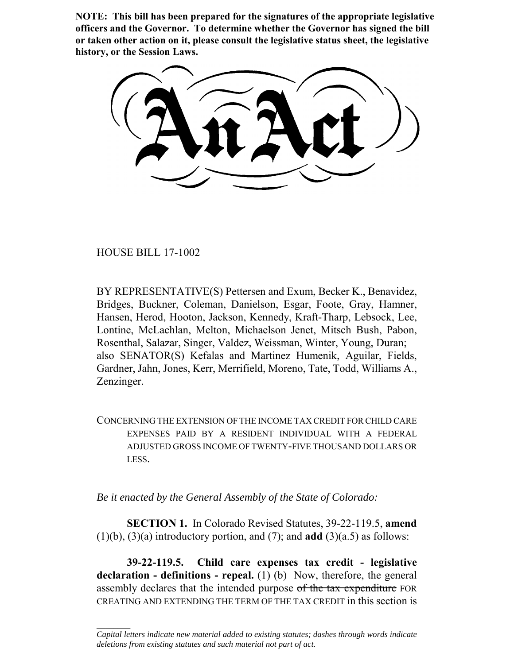**NOTE: This bill has been prepared for the signatures of the appropriate legislative officers and the Governor. To determine whether the Governor has signed the bill or taken other action on it, please consult the legislative status sheet, the legislative history, or the Session Laws.**

HOUSE BILL 17-1002

 $\frac{1}{2}$ 

BY REPRESENTATIVE(S) Pettersen and Exum, Becker K., Benavidez, Bridges, Buckner, Coleman, Danielson, Esgar, Foote, Gray, Hamner, Hansen, Herod, Hooton, Jackson, Kennedy, Kraft-Tharp, Lebsock, Lee, Lontine, McLachlan, Melton, Michaelson Jenet, Mitsch Bush, Pabon, Rosenthal, Salazar, Singer, Valdez, Weissman, Winter, Young, Duran; also SENATOR(S) Kefalas and Martinez Humenik, Aguilar, Fields, Gardner, Jahn, Jones, Kerr, Merrifield, Moreno, Tate, Todd, Williams A., Zenzinger.

CONCERNING THE EXTENSION OF THE INCOME TAX CREDIT FOR CHILD CARE EXPENSES PAID BY A RESIDENT INDIVIDUAL WITH A FEDERAL ADJUSTED GROSS INCOME OF TWENTY-FIVE THOUSAND DOLLARS OR LESS.

*Be it enacted by the General Assembly of the State of Colorado:*

**SECTION 1.** In Colorado Revised Statutes, 39-22-119.5, **amend** (1)(b), (3)(a) introductory portion, and (7); and **add** (3)(a.5) as follows:

**39-22-119.5. Child care expenses tax credit - legislative declaration - definitions - repeal.** (1) (b) Now, therefore, the general assembly declares that the intended purpose of the tax expenditure FOR CREATING AND EXTENDING THE TERM OF THE TAX CREDIT in this section is

*Capital letters indicate new material added to existing statutes; dashes through words indicate deletions from existing statutes and such material not part of act.*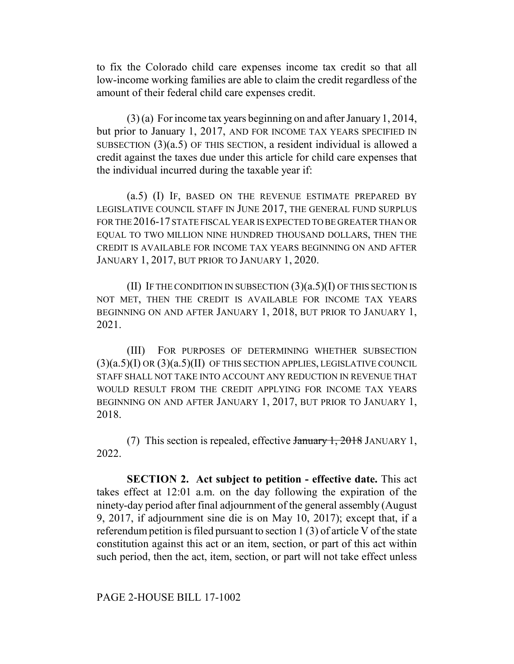to fix the Colorado child care expenses income tax credit so that all low-income working families are able to claim the credit regardless of the amount of their federal child care expenses credit.

(3) (a) For income tax years beginning on and after January 1, 2014, but prior to January 1, 2017, AND FOR INCOME TAX YEARS SPECIFIED IN SUBSECTION (3)(a.5) OF THIS SECTION, a resident individual is allowed a credit against the taxes due under this article for child care expenses that the individual incurred during the taxable year if:

(a.5) (I) IF, BASED ON THE REVENUE ESTIMATE PREPARED BY LEGISLATIVE COUNCIL STAFF IN JUNE 2017, THE GENERAL FUND SURPLUS FOR THE 2016-17 STATE FISCAL YEAR IS EXPECTED TO BE GREATER THAN OR EQUAL TO TWO MILLION NINE HUNDRED THOUSAND DOLLARS, THEN THE CREDIT IS AVAILABLE FOR INCOME TAX YEARS BEGINNING ON AND AFTER JANUARY 1, 2017, BUT PRIOR TO JANUARY 1, 2020.

(II) IF THE CONDITION IN SUBSECTION  $(3)(a.5)(I)$  OF THIS SECTION IS NOT MET, THEN THE CREDIT IS AVAILABLE FOR INCOME TAX YEARS BEGINNING ON AND AFTER JANUARY 1, 2018, BUT PRIOR TO JANUARY 1, 2021.

(III) FOR PURPOSES OF DETERMINING WHETHER SUBSECTION (3)(a.5)(I) OR (3)(a.5)(II) OF THIS SECTION APPLIES, LEGISLATIVE COUNCIL STAFF SHALL NOT TAKE INTO ACCOUNT ANY REDUCTION IN REVENUE THAT WOULD RESULT FROM THE CREDIT APPLYING FOR INCOME TAX YEARS BEGINNING ON AND AFTER JANUARY 1, 2017, BUT PRIOR TO JANUARY 1, 2018.

(7) This section is repealed, effective January 1, 2018 JANUARY 1, 2022.

**SECTION 2. Act subject to petition - effective date.** This act takes effect at 12:01 a.m. on the day following the expiration of the ninety-day period after final adjournment of the general assembly (August 9, 2017, if adjournment sine die is on May 10, 2017); except that, if a referendum petition is filed pursuant to section 1 (3) of article V of the state constitution against this act or an item, section, or part of this act within such period, then the act, item, section, or part will not take effect unless